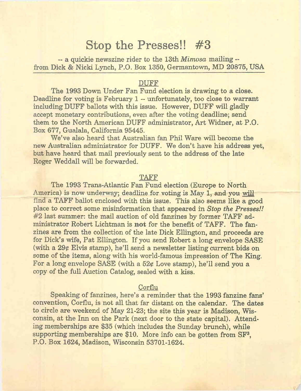# Stop the Presses!! #3

- <sup>a</sup> quickie newszine rider to the 13th *Mimosa* mailing from Dick & Nicki Lynch, P.O. Box 1350, Germantown, MD 20875, USA

# DUFF

The 1993 Down Under Fan Fund election is drawing to a close. Deadline for voting is February 1 -- unfortunately, too close to warrant including DUFF ballots with this issue. However, DUFF will gladly accept monetary contributions, even after the voting deadline; send them to the North American DUFF administrator, Art Widner, at P.O. Box 677, Gualala, California 95445.

We've also heard that Australian fan Phil Ware will become the new Australian administrator for DUFF. We don't have his address yet, but have heard that mail previously sent to the address of the late Roger Weddall will be forwarded.

## TAFF

The 1993 Trans-Atlantic Fan Fund election (Europe to North America) is now underway; deadline for voting is May 1, and you will find a TAFF ballot enclosed with this issue. This also seems like a good place to correct some misinformation that appeared in *Stop the Presses!!* #2 last summer: the mail auction of old fanzines by former TAFF administrator Robert Lichtman is **not** for the benefit of TAFF. The fanzines are from the collection of the late Dick Ellington, and proceeds are for Dick's wife, Pat Ellington. If you send Robert a long envelope SASE (with a  $29¢$  Elvis stamp), he'll send a newsletter listing current bids on some of the items, along with his world-famous impression of The King. For a long envelope SASE (with a 52¢ Love stamp), he'll send you a copy of the full Auction Catalog, sealed with a kiss.

## Corflu

Speaking of fanzines, here's a reminder that the 1993 fanzine fans' convention, Corflu, is not all that far distant on the calendar. The dates to circle are weekend of May 21-23; the site this year is Madison, Wisconsin, at the Inn on the Park (next door to the state capital). Attending memberships are \$35 (which includes the Sunday brunch), while supporting memberships are \$10. More info can be gotten from SF<sup>3</sup>, P.O. Box 1624, Madison, Wisconsin 53701-1624.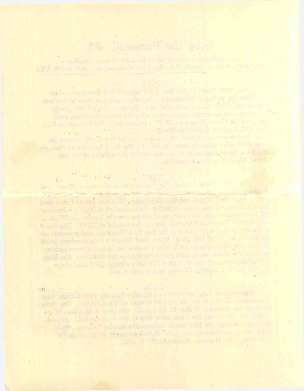# Stop the Pressent Has

ASU GIOVE CRI LOWGROUND DE OUST 2001 CM afragge bi - 00 m ability - one

ngolo o uz podviši o si mistone bin 1 mil vrim i transl ko ji sati instruct of senit out encountry into a large of school of the  $\sim$ when I live TELCO account of sind dies work is the length on the a have published without different town in the later result make for a the control of the annual settlement of the control of the control of  $\mathbf{a} = \mathbf{a}$  . out some flow" and he had nailway at mile burid mas in an we need to adjack it is now will be come in it and relation are  $\sim$ while of the centricia and we in at view skept like and for the sounding bebrawed of Fig. the Joke, report-

home a stell come focus a fill caused start and for showing but they have the reset of the page of forested relationship and contract in cracked made sector Till information animal blotto ontition that all international South and I have been found the sound out of the contract animals of was shooten here an anilly and and alt to nother the side of the process and SEAS explanate she is insitely fund novel apers like indigenous and in the no abid departement all restrieved plans if an equation should say a double path adl is one stand shough above and fine anote answer and there so pole bates if ad Augusta event a Stra stress that producer meet she is mini a rain dia sa polaire contribu sol alla rain,

**Contract** 1992 - 19 send negrod COSI and darf websites a sloten morant to galvings. the true of the deadly in the side of distribution on the columbus, The design to chule another response of May 21 the site the same is the stadiate and all the Character, United about entities week to an about any control with a present elidw to mind estimated the retail dolds. 882 on aquinoments and Paff most pertang development are to "all 2 and autobate three autors are a here is no that international the constant of the constant of the term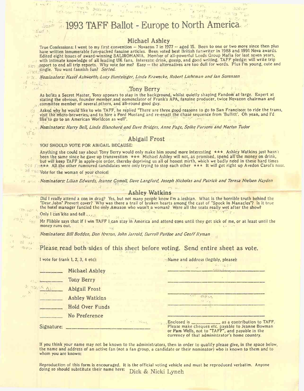1993 TAFF Ballot - Europe to North America

 $\sim 10^{-11}$ 

2010年9月 most and the conditional

**BOITER** 

#### Michael Ashley

True Confessions: I went to my first convention -- Novacon 7 in 1977 -- aged 15. Been to one or two more since then plus have written innumerable fun-packed fanzine articles. Been voted best British fanwriter in 1988 and 1991 Nova awards. Edited eight issues of award-winning SAL1ROMANIA. Member of all-powerful Leeds Group Mafia for last seven years, ; with intimate knowledge of all leading UK fans. Interests: drink, gossip, and good writing. TAFF pledge: will write trip .report to end all trip reports. Why vote for me? Easy -- the alternatives are too dull for words. Plus I'm young, cute and single. You want fannish fun? *Sorted.*

*Nominators: Haze! Ashworth, Lucy Huntzinger, Linda Krawccke, Robert Lichtman and Ian Sorensen*

 $\mathbb{P}^1_{\mathbb{Z} \times \mathbb{Z} \times \mathbb{Z} \times \mathbb{Z}}$  ,  $\mathbb{P}^1_{\mathbb{Z} \times \mathbb{Z}}$  ,  $\mathbb{P}^1_{\mathbb{Z} \times \mathbb{Z}}$  ,  $\mathbb{P}^1_{\mathbb{Z} \times \mathbb{Z}}$  ,  $\mathbb{P}^1_{\mathbb{Z} \times \mathbb{Z} \times \mathbb{Z} \times \mathbb{Z} \times \mathbb{Z} \times \mathbb{Z} \times \mathbb{Z} \times \mathbb{Z} \times \mathbb{Z} \times \mathbb{Z} \times \mathbb$ 

 $\begin{minipage}{0.9\textwidth} \begin{minipage}{0.9\textwidth} \begin{itemize} \begin{itemize} \begin{itemize} \begin{itemize} \end{itemize} \end{itemize} \end{itemize} \end{itemize} \end{minipage} \end{minipage} \begin{minipage}{0.9\textwidth} \begin{itemize} \begin{itemize} \begin{itemize} \end{itemize} \end{itemize} \end{itemize} \end{minipage} \end{minipage} \begin{minipage}{0.9\textwidth} \begin{itemize} \begin{itemize} \end{itemize} \end{itemize} \end{minipage} \end{minipage} \begin{minipage}{0.9\textwidth}$ 

#### **All Tony Berry** *Ft ....**...**...**...*

As befits a Secret Master, Tony appears to stay in the background, whilst quietly shaping Fandom' at large. Expert at stating the obvious, founder member and nomenclator of Frank'<sup>s</sup> APA, fanzine producer, twice Novacon chairman and committee member of several others, and all-round good guy.

Asked why he would like to win TAFF, he replied "There are three good reasons to go to San Francisco: to ride the trams, visit the'micro-breweries,'and to hire <sup>a</sup> Ford Mustang and re-enact, the chase sequence from 'Bullitt'. Oh yean, and <sup>I</sup>'<sup>d</sup> like'to go to an American Worldcon as well". मित्र प

*Nominators: Harry Bell, Linda Blanchard and Dave Bridges. Anne Page, Spike Parsons and Martin Tudor*

### Abigail Frost

#### YOU SHOULD VOTE FOR ABIGAIL BECAUSE:

Anything she could say about Tony Berry would only make him sound more interesting \*\*\* Ashley Watkins just hasn'<sup>t</sup> been the same since he gave up transvestism \*\*\* Michael Ashley will not, as promised, spend all the money on drink, but will keep TAFF in apple-pie order, thereby depriving us all of honest mirth, which we badly need in these hard times AU. the other rumoured candidates were only trying to stop each other \*\*\* It will get right up Avedon Carol'<sup>s</sup> nose.

ad variable for the woman of your choice! inger

 $t$  and  $r$ 

ad. 23

> 讯 排版

**SHOP** 

virst Terr

 $T_{\rm{eff}} = T_{\rm{eff}} T_{\rm{eff}} = 0.$ 学班。

 $\mathcal{H}_{\rm NL}$  $\Omega I$   $\Omega$ 

a)

 $-35$ 

 $s_{\Psi F}$ 

 $J_{\rm I}H_{\rm I}$ 

 $-71.7$ 母 197

 $-3.4$ 地图中华  $-$ tharf t.  $\mathcal{M}^{\mathcal{M}}_{\mathcal{M}}$ 

*Nominators: Lilian Edwards, Jeanne GomoU, Dave Langford. Joseph Nicholas and Patrick and Teresa Nielsen Hayden*

#### Ashley Watkins

Did I really attend a con in drag? Yes, but not many people know I'm a lesbian. What is the horrible truth behind the<br>"Dear John" Prevert cover? Why was there a trail of broken hearts among the cast of "Spock in Manacle the hotel manager fancied the only Amazon who wasn't a woman? Were all the seats really wet after the show?

Only I can kiss and tell  $\log_{d(\mathbb{R})}$  and  $\log_{d(\mathbb{R})}$  $21$ 

 $\lambda$  and  $\lambda$ 

Pine (

Mr Flibble says that if I win TAFF I can stay in America and attend cons until they get sick of me, or at least until the<br>money runs out. money runs out. , \_ . • : •

*Nominators: BillBodden, Don Hrrron, John Jarrold, Darroll Pardoe and Geoff Ryman*

#### Please read both sides of this sheet before voting. Send entire sheet as vote.

| I vote for (rank 1, 2, 3, 4 etc): |                        | Name and address (legibly, please):                                                                                                                                     |
|-----------------------------------|------------------------|-------------------------------------------------------------------------------------------------------------------------------------------------------------------------|
|                                   | Michael Ashley         | the first<br>393.3 killed                                                                                                                                               |
|                                   | <b>Tony Berry</b>      |                                                                                                                                                                         |
| 感音に                               | <b>Abigail Frost</b>   |                                                                                                                                                                         |
|                                   | <b>Ashley Watkins</b>  | <b>VITE にんく</b>                                                                                                                                                         |
|                                   | <b>Hold Over Funds</b> |                                                                                                                                                                         |
|                                   | No Preference          |                                                                                                                                                                         |
| Signature:                        | and an adver-          | Enclosed is <b>Englehering Engles</b> as a contribution to TAFF<br>Please make cheques etc. payable to Jeanne Bowman<br>or Pam Wells, not to "TAFF", and payable in the |

If you think your name may not be known to the administrators, then in order to qualify please give, in the space below, the name and address of an active fan (not a fan group, <sup>a</sup> candidate or their nominator) who is known to them and to whom you are known:

currency of that administrator'<sup>s</sup> home country.

Reproduction of this form is encouraged, it is the official voting vehicle and must be reproduced verbatim. Anyone doing so should substitute their name here: Dick & Nicki Lynch